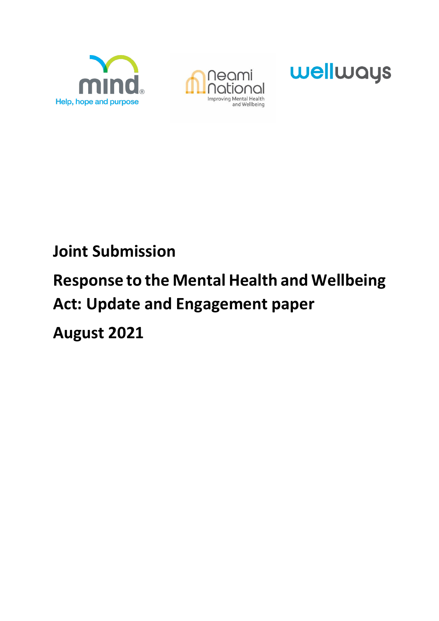





## **Joint Submission**

# **Response to the Mental Health and Wellbeing Act: Update and Engagement paper August 2021**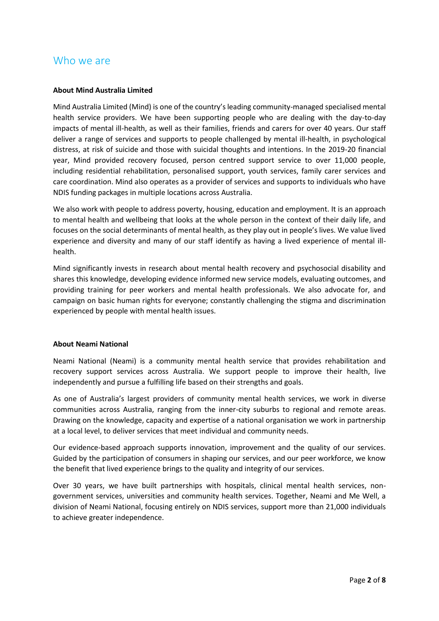#### Who we are

#### **About Mind Australia Limited**

Mind Australia Limited (Mind) is one of the country's leading community-managed specialised mental health service providers. We have been supporting people who are dealing with the day-to-day impacts of mental ill-health, as well as their families, friends and carers for over 40 years. Our staff deliver a range of services and supports to people challenged by mental ill-health, in psychological distress, at risk of suicide and those with suicidal thoughts and intentions. In the 2019-20 financial year, Mind provided recovery focused, person centred support service to over 11,000 people, including residential rehabilitation, personalised support, youth services, family carer services and care coordination. Mind also operates as a provider of services and supports to individuals who have NDIS funding packages in multiple locations across Australia.

We also work with people to address poverty, housing, education and employment. It is an approach to mental health and wellbeing that looks at the whole person in the context of their daily life, and focuses on the social determinants of mental health, as they play out in people's lives. We value lived experience and diversity and many of our staff identify as having a lived experience of mental illhealth.

Mind significantly invests in research about mental health recovery and psychosocial disability and shares this knowledge, developing evidence informed new service models, evaluating outcomes, and providing training for peer workers and mental health professionals. We also advocate for, and campaign on basic human rights for everyone; constantly challenging the stigma and discrimination experienced by people with mental health issues.

#### **About Neami National**

Neami National (Neami) is a community mental health service that provides rehabilitation and recovery support services across Australia. We support people to improve their health, live independently and pursue a fulfilling life based on their strengths and goals.

As one of Australia's largest providers of community mental health services, we work in diverse communities across Australia, ranging from the inner-city suburbs to regional and remote areas. Drawing on the knowledge, capacity and expertise of a national organisation we work in partnership at a local level, to deliver services that meet individual and community needs.

Our evidence-based approach supports innovation, improvement and the quality of our services. Guided by the participation of consumers in shaping our services, and our peer workforce, we know the benefit that lived experience brings to the quality and integrity of our services.

Over 30 years, we have built partnerships with hospitals, clinical mental health services, nongovernment services, universities and community health services. Together, Neami and Me Well, a division of Neami National, focusing entirely on NDIS services, support more than 21,000 individuals to achieve greater independence.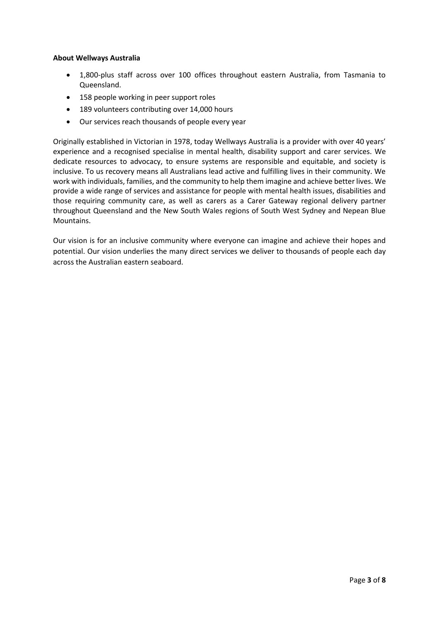#### **About Wellways Australia**

- 1,800-plus staff across over 100 offices throughout eastern Australia, from Tasmania to Queensland.
- 158 people working in peer support roles
- 189 volunteers contributing over 14,000 hours
- Our services reach thousands of people every year

Originally established in Victorian in 1978, today Wellways Australia is a provider with over 40 years' experience and a recognised specialise in mental health, disability support and carer services. We dedicate resources to advocacy, to ensure systems are responsible and equitable, and society is inclusive. To us recovery means all Australians lead active and fulfilling lives in their community. We work with individuals, families, and the community to help them imagine and achieve better lives. We provide a wide range of services and assistance for people with mental health issues, disabilities and those requiring community care, as well as carers as a Carer Gateway regional delivery partner throughout Queensland and the New South Wales regions of South West Sydney and Nepean Blue Mountains.

Our vision is for an inclusive community where everyone can imagine and achieve their hopes and potential. Our vision underlies the many direct services we deliver to thousands of people each day across the Australian eastern seaboard.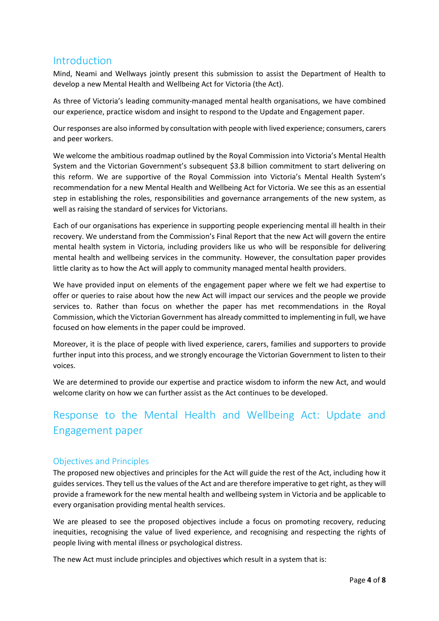#### Introduction

Mind, Neami and Wellways jointly present this submission to assist the Department of Health to develop a new Mental Health and Wellbeing Act for Victoria (the Act).

As three of Victoria's leading community-managed mental health organisations, we have combined our experience, practice wisdom and insight to respond to the Update and Engagement paper.

Our responses are also informed by consultation with people with lived experience; consumers, carers and peer workers.

We welcome the ambitious roadmap outlined by the Royal Commission into Victoria's Mental Health System and the Victorian Government's subsequent \$3.8 billion commitment to start delivering on this reform. We are supportive of the Royal Commission into Victoria's Mental Health System's recommendation for a new Mental Health and Wellbeing Act for Victoria. We see this as an essential step in establishing the roles, responsibilities and governance arrangements of the new system, as well as raising the standard of services for Victorians.

Each of our organisations has experience in supporting people experiencing mental ill health in their recovery. We understand from the Commission's Final Report that the new Act will govern the entire mental health system in Victoria, including providers like us who will be responsible for delivering mental health and wellbeing services in the community. However, the consultation paper provides little clarity as to how the Act will apply to community managed mental health providers.

We have provided input on elements of the engagement paper where we felt we had expertise to offer or queries to raise about how the new Act will impact our services and the people we provide services to. Rather than focus on whether the paper has met recommendations in the Royal Commission, which the Victorian Government has already committed to implementing in full, we have focused on how elements in the paper could be improved.

Moreover, it is the place of people with lived experience, carers, families and supporters to provide further input into this process, and we strongly encourage the Victorian Government to listen to their voices.

We are determined to provide our expertise and practice wisdom to inform the new Act, and would welcome clarity on how we can further assist as the Act continues to be developed.

### Response to the Mental Health and Wellbeing Act: Update and Engagement paper

#### Objectives and Principles

The proposed new objectives and principles for the Act will guide the rest of the Act, including how it guides services. They tell us the values of the Act and are therefore imperative to get right, as they will provide a framework for the new mental health and wellbeing system in Victoria and be applicable to every organisation providing mental health services.

We are pleased to see the proposed objectives include a focus on promoting recovery, reducing inequities, recognising the value of lived experience, and recognising and respecting the rights of people living with mental illness or psychological distress.

The new Act must include principles and objectives which result in a system that is: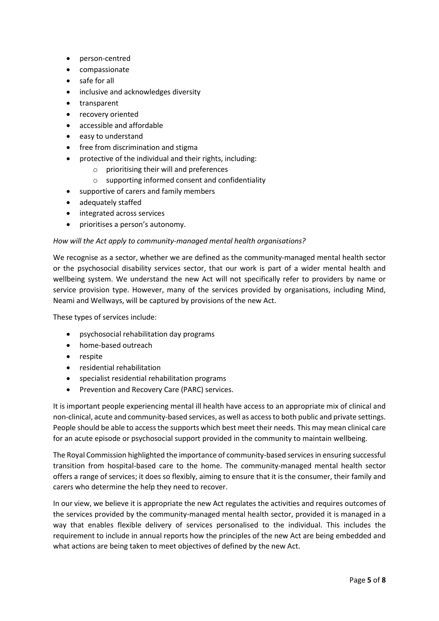- person-centred
- compassionate
- safe for all
- inclusive and acknowledges diversity
- transparent
- recovery oriented
- accessible and affordable
- easy to understand
- free from discrimination and stigma
- protective of the individual and their rights, including:
	- o prioritising their will and preferences
	- o supporting informed consent and confidentiality
- supportive of carers and family members
- adequately staffed
- integrated across services
- prioritises a person's autonomy.

#### *How will the Act apply to community-managed mental health organisations?*

We recognise as a sector, whether we are defined as the community-managed mental health sector or the psychosocial disability services sector, that our work is part of a wider mental health and wellbeing system. We understand the new Act will not specifically refer to providers by name or service provision type. However, many of the services provided by organisations, including Mind, Neami and Wellways, will be captured by provisions of the new Act.

These types of services include:

- psychosocial rehabilitation day programs
- home-based outreach
- respite
- residential rehabilitation
- specialist residential rehabilitation programs
- Prevention and Recovery Care (PARC) services.

It is important people experiencing mental ill health have access to an appropriate mix of clinical and non-clinical, acute and community-based services, as well as access to both public and private settings. People should be able to access the supports which best meet their needs. This may mean clinical care for an acute episode or psychosocial support provided in the community to maintain wellbeing.

The Royal Commission highlighted the importance of community-based services in ensuring successful transition from hospital-based care to the home. The community-managed mental health sector offers a range of services; it does so flexibly, aiming to ensure that it is the consumer, their family and carers who determine the help they need to recover.

In our view, we believe it is appropriate the new Act regulates the activities and requires outcomes of the services provided by the community-managed mental health sector, provided it is managed in a way that enables flexible delivery of services personalised to the individual. This includes the requirement to include in annual reports how the principles of the new Act are being embedded and what actions are being taken to meet objectives of defined by the new Act.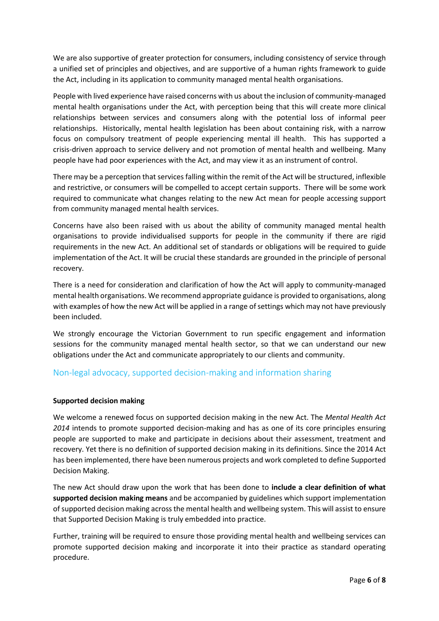We are also supportive of greater protection for consumers, including consistency of service through a unified set of principles and objectives, and are supportive of a human rights framework to guide the Act, including in its application to community managed mental health organisations.

People with lived experience have raised concerns with us about the inclusion of community-managed mental health organisations under the Act, with perception being that this will create more clinical relationships between services and consumers along with the potential loss of informal peer relationships. Historically, mental health legislation has been about containing risk, with a narrow focus on compulsory treatment of people experiencing mental ill health. This has supported a crisis-driven approach to service delivery and not promotion of mental health and wellbeing. Many people have had poor experiences with the Act, and may view it as an instrument of control.

There may be a perception that services falling within the remit of the Act will be structured, inflexible and restrictive, or consumers will be compelled to accept certain supports. There will be some work required to communicate what changes relating to the new Act mean for people accessing support from community managed mental health services.

Concerns have also been raised with us about the ability of community managed mental health organisations to provide individualised supports for people in the community if there are rigid requirements in the new Act. An additional set of standards or obligations will be required to guide implementation of the Act. It will be crucial these standards are grounded in the principle of personal recovery.

There is a need for consideration and clarification of how the Act will apply to community-managed mental health organisations. We recommend appropriate guidance is provided to organisations, along with examples of how the new Act will be applied in a range of settings which may not have previously been included.

We strongly encourage the Victorian Government to run specific engagement and information sessions for the community managed mental health sector, so that we can understand our new obligations under the Act and communicate appropriately to our clients and community.

#### Non-legal advocacy, supported decision-making and information sharing

#### **Supported decision making**

We welcome a renewed focus on supported decision making in the new Act. The *Mental Health Act 2014* intends to promote supported decision-making and has as one of its core principles ensuring people are supported to make and participate in decisions about their assessment, treatment and recovery. Yet there is no definition of supported decision making in its definitions. Since the 2014 Act has been implemented, there have been numerous projects and work completed to define Supported Decision Making.

The new Act should draw upon the work that has been done to **include a clear definition of what supported decision making means** and be accompanied by guidelines which support implementation of supported decision making across the mental health and wellbeing system. This will assist to ensure that Supported Decision Making is truly embedded into practice.

Further, training will be required to ensure those providing mental health and wellbeing services can promote supported decision making and incorporate it into their practice as standard operating procedure.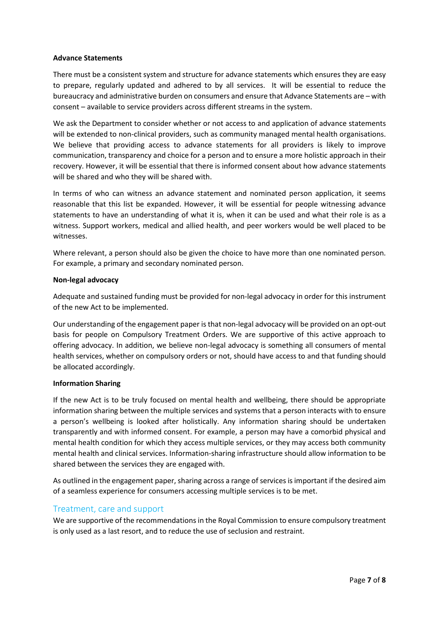#### **Advance Statements**

There must be a consistent system and structure for advance statements which ensures they are easy to prepare, regularly updated and adhered to by all services. It will be essential to reduce the bureaucracy and administrative burden on consumers and ensure that Advance Statements are – with consent – available to service providers across different streams in the system.

We ask the Department to consider whether or not access to and application of advance statements will be extended to non-clinical providers, such as community managed mental health organisations. We believe that providing access to advance statements for all providers is likely to improve communication, transparency and choice for a person and to ensure a more holistic approach in their recovery. However, it will be essential that there is informed consent about how advance statements will be shared and who they will be shared with.

In terms of who can witness an advance statement and nominated person application, it seems reasonable that this list be expanded. However, it will be essential for people witnessing advance statements to have an understanding of what it is, when it can be used and what their role is as a witness. Support workers, medical and allied health, and peer workers would be well placed to be witnesses.

Where relevant, a person should also be given the choice to have more than one nominated person. For example, a primary and secondary nominated person.

#### **Non-legal advocacy**

Adequate and sustained funding must be provided for non-legal advocacy in order for this instrument of the new Act to be implemented.

Our understanding of the engagement paper is that non-legal advocacy will be provided on an opt-out basis for people on Compulsory Treatment Orders. We are supportive of this active approach to offering advocacy. In addition, we believe non-legal advocacy is something all consumers of mental health services, whether on compulsory orders or not, should have access to and that funding should be allocated accordingly.

#### **Information Sharing**

If the new Act is to be truly focused on mental health and wellbeing, there should be appropriate information sharing between the multiple services and systems that a person interacts with to ensure a person's wellbeing is looked after holistically. Any information sharing should be undertaken transparently and with informed consent. For example, a person may have a comorbid physical and mental health condition for which they access multiple services, or they may access both community mental health and clinical services. Information-sharing infrastructure should allow information to be shared between the services they are engaged with.

As outlined in the engagement paper, sharing across a range of services is important if the desired aim of a seamless experience for consumers accessing multiple services is to be met.

#### Treatment, care and support

We are supportive of the recommendations in the Royal Commission to ensure compulsory treatment is only used as a last resort, and to reduce the use of seclusion and restraint.